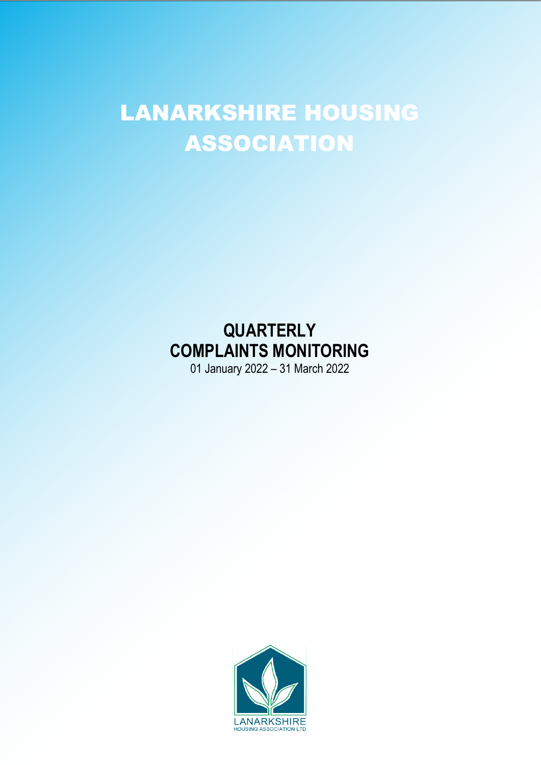## LANARKSHIRE HOUSING LANARKSHIRE HOUSING ASSOCIATION

# **QUARTERLY COMPLAINTS MONITORING**

01 January 2022 – 31 March 2022

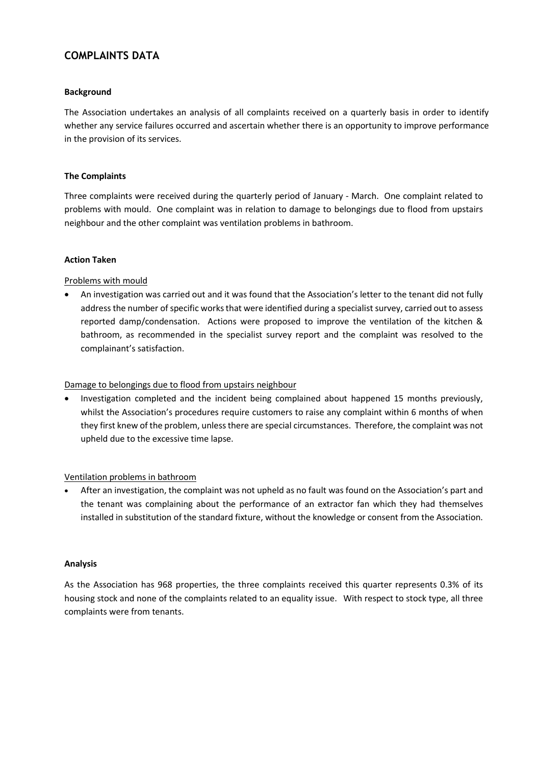#### **COMPLAINTS DATA**

#### **Background**

The Association undertakes an analysis of all complaints received on a quarterly basis in order to identify whether any service failures occurred and ascertain whether there is an opportunity to improve performance in the provision of its services.

#### **The Complaints**

Three complaints were received during the quarterly period of January - March. One complaint related to problems with mould. One complaint was in relation to damage to belongings due to flood from upstairs neighbour and the other complaint was ventilation problems in bathroom.

#### **Action Taken**

#### Problems with mould

• An investigation was carried out and it was found that the Association's letter to the tenant did not fully address the number of specific works that were identified during a specialist survey, carried out to assess reported damp/condensation. Actions were proposed to improve the ventilation of the kitchen & bathroom, as recommended in the specialist survey report and the complaint was resolved to the complainant's satisfaction.

#### Damage to belongings due to flood from upstairs neighbour

• Investigation completed and the incident being complained about happened 15 months previously, whilst the Association's procedures require customers to raise any complaint within 6 months of when they first knew of the problem, unless there are special circumstances. Therefore, the complaint was not upheld due to the excessive time lapse.

#### Ventilation problems in bathroom

• After an investigation, the complaint was not upheld as no fault was found on the Association's part and the tenant was complaining about the performance of an extractor fan which they had themselves installed in substitution of the standard fixture, without the knowledge or consent from the Association.

#### **Analysis**

As the Association has 968 properties, the three complaints received this quarter represents 0.3% of its housing stock and none of the complaints related to an equality issue. With respect to stock type, all three complaints were from tenants.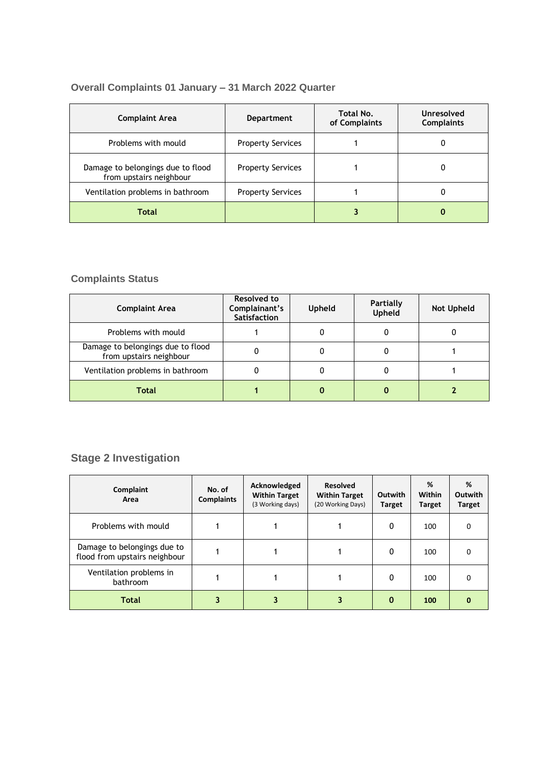### **Overall Complaints 01 January – 31 March 2022 Quarter**

| <b>Complaint Area</b>                                        | Total No.<br><b>Department</b><br>of Complaints |  | Unresolved<br><b>Complaints</b> |  |
|--------------------------------------------------------------|-------------------------------------------------|--|---------------------------------|--|
| Problems with mould                                          | <b>Property Services</b>                        |  | 0                               |  |
| Damage to belongings due to flood<br>from upstairs neighbour | <b>Property Services</b>                        |  | 0                               |  |
| Ventilation problems in bathroom                             | <b>Property Services</b>                        |  | 0                               |  |
| Total                                                        |                                                 |  | 0                               |  |

### **Complaints Status**

| <b>Complaint Area</b>                                        | <b>Resolved to</b><br>Complainant's<br><b>Satisfaction</b> | Upheld | <b>Partially</b><br>Upheld | <b>Not Upheld</b> |
|--------------------------------------------------------------|------------------------------------------------------------|--------|----------------------------|-------------------|
| Problems with mould                                          |                                                            |        | 0                          |                   |
| Damage to belongings due to flood<br>from upstairs neighbour |                                                            |        |                            |                   |
| Ventilation problems in bathroom                             |                                                            |        | o                          |                   |
| Total                                                        |                                                            |        |                            |                   |

### **Stage 2 Investigation**

| Complaint<br>Area                                            | No. of<br><b>Complaints</b> | Acknowledged<br><b>Within Target</b><br>(3 Working days) | <b>Resolved</b><br><b>Within Target</b><br>(20 Working Days) | Outwith<br><b>Target</b> | %<br>Within<br><b>Target</b> | %<br><b>Outwith</b><br><b>Target</b> |
|--------------------------------------------------------------|-----------------------------|----------------------------------------------------------|--------------------------------------------------------------|--------------------------|------------------------------|--------------------------------------|
| Problems with mould                                          |                             |                                                          |                                                              | $\Omega$                 | 100                          | O                                    |
| Damage to belongings due to<br>flood from upstairs neighbour |                             |                                                          |                                                              | 0                        | 100                          | O                                    |
| Ventilation problems in<br>bathroom                          |                             |                                                          |                                                              | O                        | 100                          | O                                    |
| <b>Total</b>                                                 |                             |                                                          |                                                              | $\bf{0}$                 | 100                          | 0                                    |